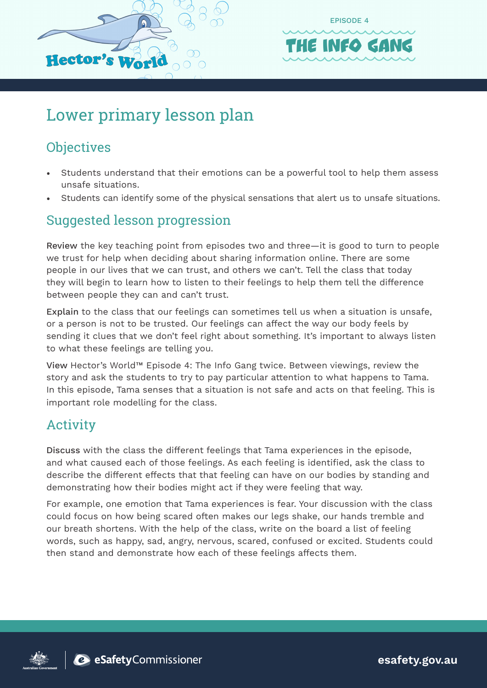



# Lower primary lesson plan

## **Objectives**

- Students understand that their emotions can be a powerful tool to help them assess unsafe situations.
- Students can identify some of the physical sensations that alert us to unsafe situations.

#### Suggested lesson progression

Review the key teaching point from episodes two and three—it is good to turn to people we trust for help when deciding about sharing information online. There are some people in our lives that we can trust, and others we can't. Tell the class that today they will begin to learn how to listen to their feelings to help them tell the difference between people they can and can't trust.

Explain to the class that our feelings can sometimes tell us when a situation is unsafe, or a person is not to be trusted. Our feelings can affect the way our body feels by sending it clues that we don't feel right about something. It's important to always listen to what these feelings are telling you.

View Hector's World™ Episode 4: The Info Gang twice. Between viewings, review the story and ask the students to try to pay particular attention to what happens to Tama. In this episode, Tama senses that a situation is not safe and acts on that feeling. This is important role modelling for the class.

### Activity

Discuss with the class the different feelings that Tama experiences in the episode, and what caused each of those feelings. As each feeling is identified, ask the class to describe the different effects that that feeling can have on our bodies by standing and demonstrating how their bodies might act if they were feeling that way.

For example, one emotion that Tama experiences is fear. Your discussion with the class could focus on how being scared often makes our legs shake, our hands tremble and our breath shortens. With the help of the class, write on the board a list of feeling words, such as happy, sad, angry, nervous, scared, confused or excited. Students could then stand and demonstrate how each of these feelings affects them.





**esafety.gov.au**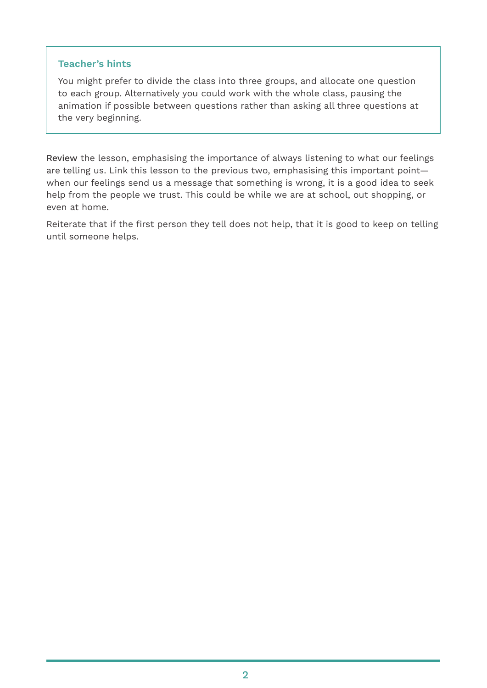#### **Teacher's hints**

You might prefer to divide the class into three groups, and allocate one question to each group. Alternatively you could work with the whole class, pausing the animation if possible between questions rather than asking all three questions at the very beginning.

Review the lesson, emphasising the importance of always listening to what our feelings are telling us. Link this lesson to the previous two, emphasising this important point when our feelings send us a message that something is wrong, it is a good idea to seek help from the people we trust. This could be while we are at school, out shopping, or even at home.

Reiterate that if the first person they tell does not help, that it is good to keep on telling until someone helps.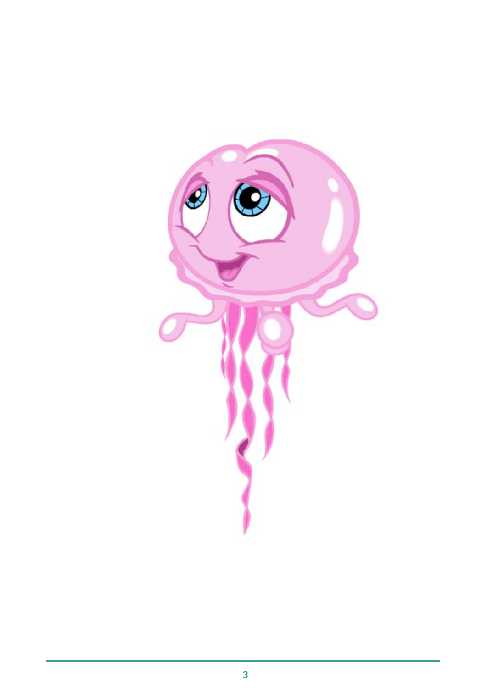

© 2003-2009 Hector's World Limited under licence. All rights reserved.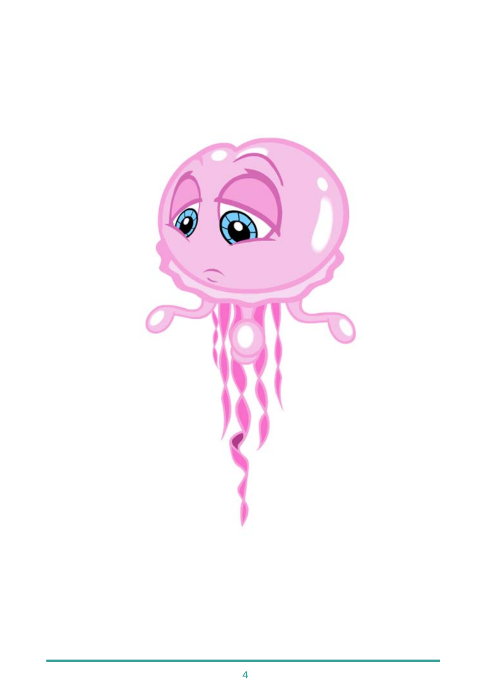

© 2003-2009 Hector's World Limited under licence. All rights reserved.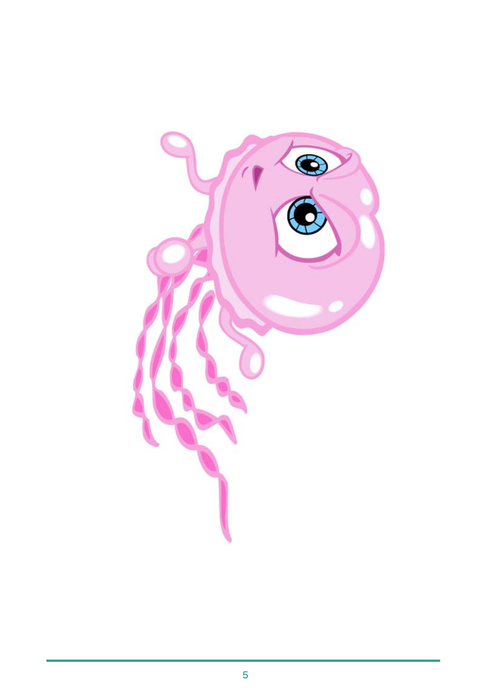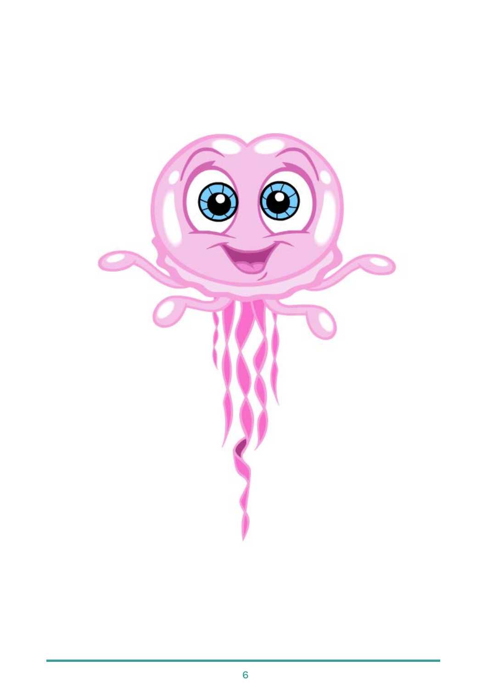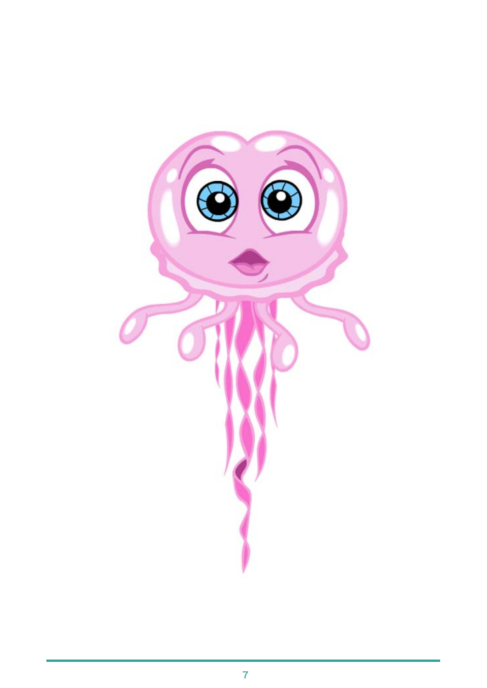

© 2003-2009 Hector's World Limited under licence. All rights reserved.